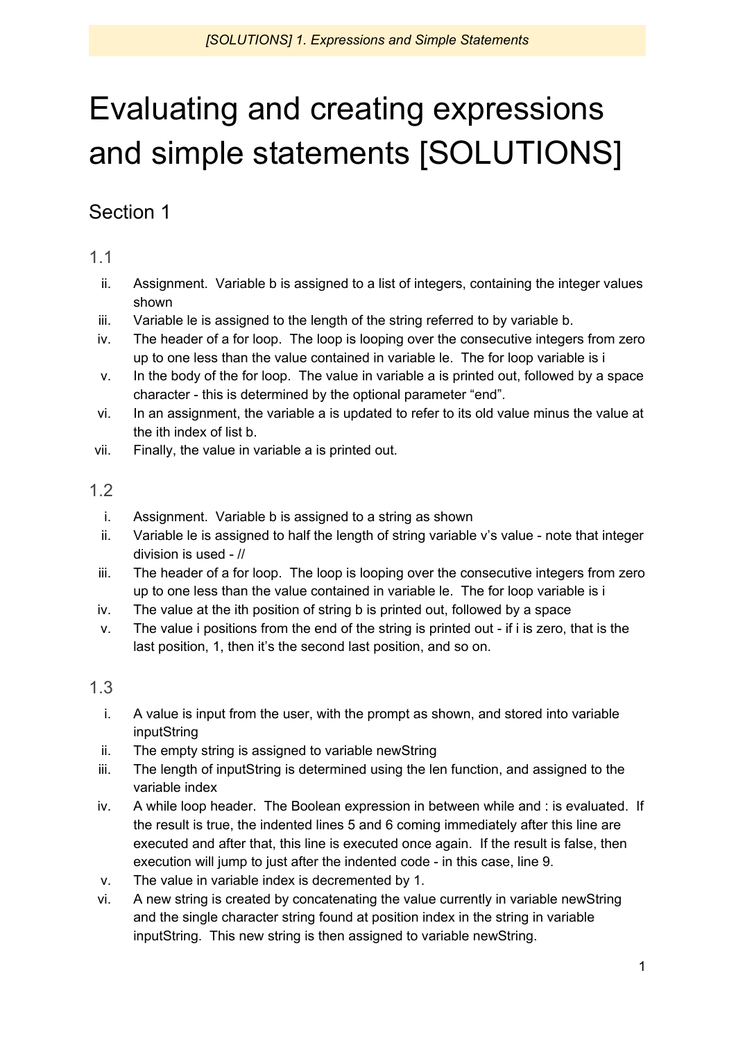# Evaluating and creating expressions and simple statements [SOLUTIONS]

# Section 1

1.1

- ii. Assignment. Variable b is assigned to a list of integers, containing the integer values shown
- iii. Variable le is assigned to the length of the string referred to by variable b.
- iv. The header of a for loop. The loop is looping over the consecutive integers from zero up to one less than the value contained in variable le. The for loop variable is i
- v. In the body of the for loop. The value in variable a is printed out, followed by a space character - this is determined by the optional parameter "end".
- vi. In an assignment, the variable a is updated to refer to its old value minus the value at the ith index of list b.
- vii. Finally, the value in variable a is printed out.

#### 1.2

- i. Assignment. Variable b is assigned to a string as shown
- ii. Variable le is assigned to half the length of string variable v's value note that integer division is used - //
- iii. The header of a for loop. The loop is looping over the consecutive integers from zero up to one less than the value contained in variable le. The for loop variable is i
- iv. The value at the ith position of string b is printed out, followed by a space
- v. The value i positions from the end of the string is printed out if i is zero, that is the last position, 1, then it's the second last position, and so on.

- i. A value is input from the user, with the prompt as shown, and stored into variable inputString
- ii. The empty string is assigned to variable newString
- iii. The length of inputString is determined using the len function, and assigned to the variable index
- iv. A while loop header. The Boolean expression in between while and : is evaluated. If the result is true, the indented lines 5 and 6 coming immediately after this line are executed and after that, this line is executed once again. If the result is false, then execution will jump to just after the indented code - in this case, line 9.
- v. The value in variable index is decremented by 1.
- vi. A new string is created by concatenating the value currently in variable newString and the single character string found at position index in the string in variable inputString. This new string is then assigned to variable newString.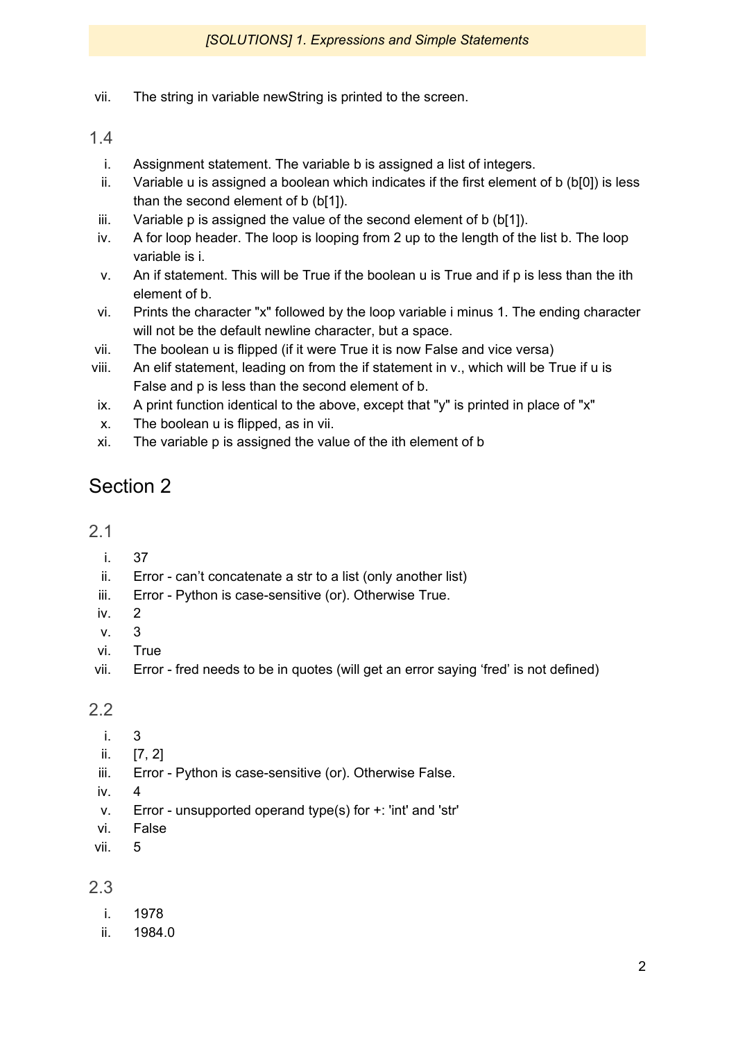vii. The string in variable newString is printed to the screen.

#### 1.4

- i. Assignment statement. The variable b is assigned a list of integers.
- ii. Variable u is assigned a boolean which indicates if the first element of b (b[0]) is less than the second element of b (b[1]).
- iii. Variable p is assigned the value of the second element of b (b[1]).
- iv. A for loop header. The loop is looping from 2 up to the length of the list b. The loop variable is i.
- v. An if statement. This will be True if the boolean u is True and if p is less than the ith element of b.
- vi. Prints the character "x" followed by the loop variable i minus 1. The ending character will not be the default newline character, but a space.
- vii. The boolean u is flipped (if it were True it is now False and vice versa)
- viii. An elif statement, leading on from the if statement in v., which will be True if u is False and p is less than the second element of b.
- ix. A print function identical to the above, except that "y" is printed in place of "x"
- x. The boolean u is flipped, as in vii.
- xi. The variable p is assigned the value of the ith element of b

## Section 2

#### 2.1

- i. 37
- ii. Error can't concatenate a str to a list (only another list)
- iii. Error Python is case-sensitive (or). Otherwise True.
- iv. 2
- v. 3
- vi. True
- vii. Error fred needs to be in quotes (will get an error saying 'fred' is not defined)

2.2

- i. 3
- ii. [7, 2]
- iii. Error Python is case-sensitive (or). Otherwise False.
- iv.
- v. Error unsupported operand type(s) for +: 'int' and 'str'
- vi. False
- vii. 5

- i. 1978
- ii. 1984.0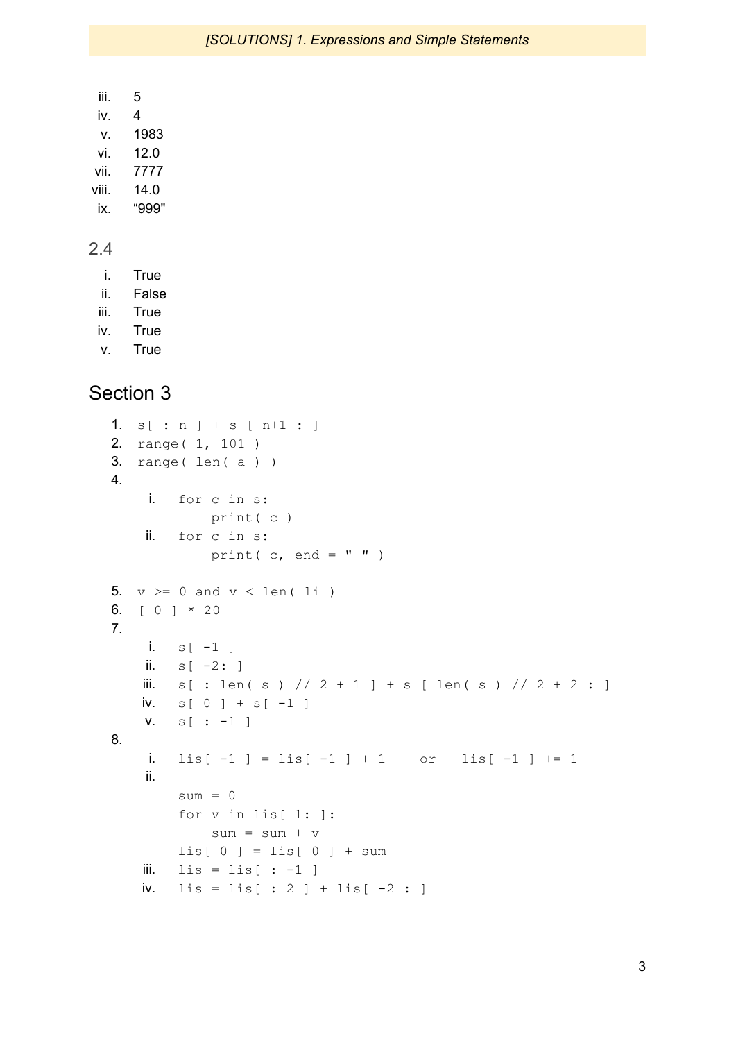$iii. 5$ iv. 4 v. 1983 vi. 12.0 vii. 7777 viii. 14.0 ix. "999"

#### 2.4

i. True

- ii. False
- iii. True
- iv. True
- v. True

## Section 3

```
1. s[ : n ] + s [ n+1 : ]
2. range( 1, 101 )
3. range( len( a ) )
4.
    i. for c in s:
           print( c )
    ii. for c in s:
           print(c, end = " " )5. v > = 0 and v < len( li )6. [ 0 ] * 20
7.
    i. s[-1]ii. s[-2:]iii. s[ : len(s) // 2 + 1 ] + s [ len(s) // 2 + 2 : ]iv. s[0] + s[-1]v. s[ : -1 ]
8.
    i. lis[-1] = \text{lis}[-1] + 1 or lis[-1] + 1ii.
       sum = 0for v in lis[ 1: ]:
           sum = sum + vlis[0] = lis[0] + sumiii. lis = lis[-1]iv. \text{lis} = \text{lis} : 2 ] + lis [-2 : ]
```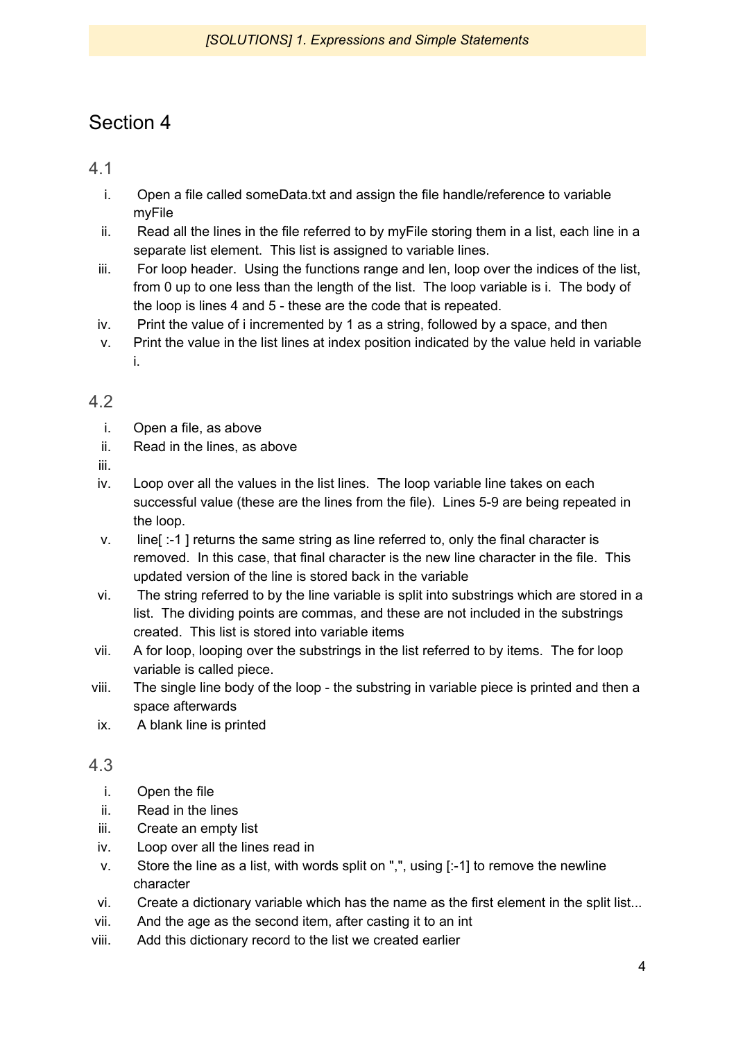## Section 4

4.1

- i. Open a file called someData.txt and assign the file handle/reference to variable myFile
- ii. Read all the lines in the file referred to by myFile storing them in a list, each line in a separate list element. This list is assigned to variable lines.
- iii. For loop header. Using the functions range and len, loop over the indices of the list, from 0 up to one less than the length of the list. The loop variable is i. The body of the loop is lines 4 and 5 - these are the code that is repeated.
- iv. Print the value of i incremented by 1 as a string, followed by a space, and then
- v. Print the value in the list lines at index position indicated by the value held in variable i.

#### 4.2

- i. Open a file, as above
- ii. Read in the lines, as above
- iii.
- iv. Loop over all the values in the list lines. The loop variable line takes on each successful value (these are the lines from the file). Lines 5-9 are being repeated in the loop.
- v. line[ :-1 ] returns the same string as line referred to, only the final character is removed. In this case, that final character is the new line character in the file. This updated version of the line is stored back in the variable
- vi. The string referred to by the line variable is split into substrings which are stored in a list. The dividing points are commas, and these are not included in the substrings created. This list is stored into variable items
- vii. A for loop, looping over the substrings in the list referred to by items. The for loop variable is called piece.
- viii. The single line body of the loop the substring in variable piece is printed and then a space afterwards
- ix. A blank line is printed

- i. Open the file
- ii. Read in the lines
- iii. Create an empty list
- iv. Loop over all the lines read in
- v. Store the line as a list, with words split on ",", using [:-1] to remove the newline character
- vi. Create a dictionary variable which has the name as the first element in the split list...
- vii. And the age as the second item, after casting it to an int
- viii. Add this dictionary record to the list we created earlier